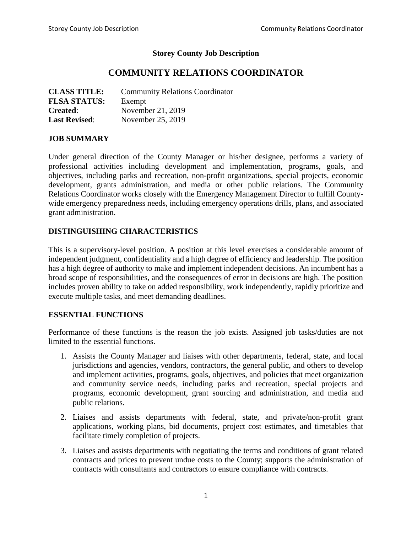### **Storey County Job Description**

# **COMMUNITY RELATIONS COORDINATOR**

| <b>CLASS TITLE:</b>  | <b>Community Relations Coordinator</b> |
|----------------------|----------------------------------------|
| <b>FLSA STATUS:</b>  | Exempt                                 |
| <b>Created:</b>      | November 21, 2019                      |
| <b>Last Revised:</b> | November 25, 2019                      |

#### **JOB SUMMARY**

Under general direction of the County Manager or his/her designee, performs a variety of professional activities including development and implementation, programs, goals, and objectives, including parks and recreation, non-profit organizations, special projects, economic development, grants administration, and media or other public relations. The Community Relations Coordinator works closely with the Emergency Management Director to fulfill Countywide emergency preparedness needs, including emergency operations drills, plans, and associated grant administration.

### **DISTINGUISHING CHARACTERISTICS**

This is a supervisory-level position. A position at this level exercises a considerable amount of independent judgment, confidentiality and a high degree of efficiency and leadership. The position has a high degree of authority to make and implement independent decisions. An incumbent has a broad scope of responsibilities, and the consequences of error in decisions are high. The position includes proven ability to take on added responsibility, work independently, rapidly prioritize and execute multiple tasks, and meet demanding deadlines.

#### **ESSENTIAL FUNCTIONS**

Performance of these functions is the reason the job exists. Assigned job tasks/duties are not limited to the essential functions.

- 1. Assists the County Manager and liaises with other departments, federal, state, and local jurisdictions and agencies, vendors, contractors, the general public, and others to develop and implement activities, programs, goals, objectives, and policies that meet organization and community service needs, including parks and recreation, special projects and programs, economic development, grant sourcing and administration, and media and public relations.
- 2. Liaises and assists departments with federal, state, and private/non-profit grant applications, working plans, bid documents, project cost estimates, and timetables that facilitate timely completion of projects.
- 3. Liaises and assists departments with negotiating the terms and conditions of grant related contracts and prices to prevent undue costs to the County; supports the administration of contracts with consultants and contractors to ensure compliance with contracts.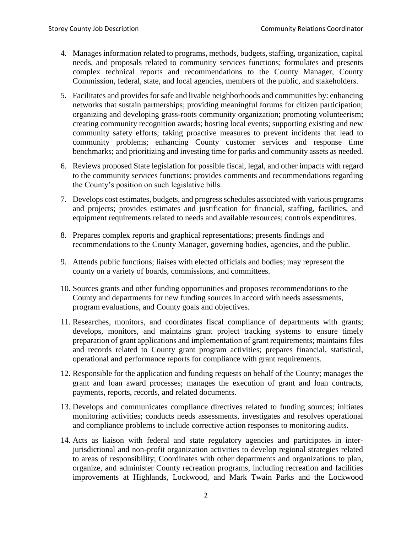- 4. Manages information related to programs, methods, budgets, staffing, organization, capital needs, and proposals related to community services functions; formulates and presents complex technical reports and recommendations to the County Manager, County Commission, federal, state, and local agencies, members of the public, and stakeholders.
- 5. Facilitates and provides for safe and livable neighborhoods and communities by: enhancing networks that sustain partnerships; providing meaningful forums for citizen participation; organizing and developing grass-roots community organization; promoting volunteerism; creating community recognition awards; hosting local events; supporting existing and new community safety efforts; taking proactive measures to prevent incidents that lead to community problems; enhancing County customer services and response time benchmarks; and prioritizing and investing time for parks and community assets as needed.
- 6. Reviews proposed State legislation for possible fiscal, legal, and other impacts with regard to the community services functions; provides comments and recommendations regarding the County's position on such legislative bills.
- 7. Develops cost estimates, budgets, and progress schedules associated with various programs and projects; provides estimates and justification for financial, staffing, facilities, and equipment requirements related to needs and available resources; controls expenditures.
- 8. Prepares complex reports and graphical representations; presents findings and recommendations to the County Manager, governing bodies, agencies, and the public.
- 9. Attends public functions; liaises with elected officials and bodies; may represent the county on a variety of boards, commissions, and committees.
- 10. Sources grants and other funding opportunities and proposes recommendations to the County and departments for new funding sources in accord with needs assessments, program evaluations, and County goals and objectives.
- 11. Researches, monitors, and coordinates fiscal compliance of departments with grants; develops, monitors, and maintains grant project tracking systems to ensure timely preparation of grant applications and implementation of grant requirements; maintains files and records related to County grant program activities; prepares financial, statistical, operational and performance reports for compliance with grant requirements.
- 12. Responsible for the application and funding requests on behalf of the County; manages the grant and loan award processes; manages the execution of grant and loan contracts, payments, reports, records, and related documents.
- 13. Develops and communicates compliance directives related to funding sources; initiates monitoring activities; conducts needs assessments, investigates and resolves operational and compliance problems to include corrective action responses to monitoring audits.
- 14. Acts as liaison with federal and state regulatory agencies and participates in interjurisdictional and non-profit organization activities to develop regional strategies related to areas of responsibility; Coordinates with other departments and organizations to plan, organize, and administer County recreation programs, including recreation and facilities improvements at Highlands, Lockwood, and Mark Twain Parks and the Lockwood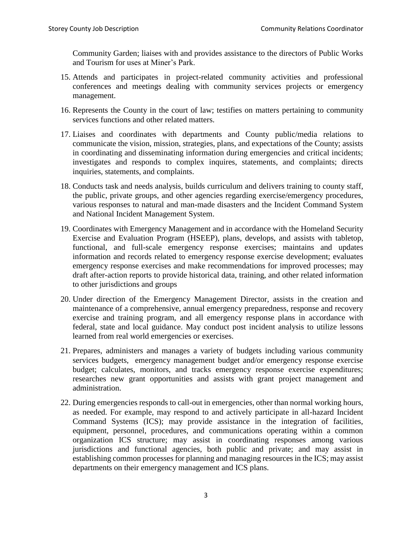Community Garden; liaises with and provides assistance to the directors of Public Works and Tourism for uses at Miner's Park.

- 15. Attends and participates in project-related community activities and professional conferences and meetings dealing with community services projects or emergency management.
- 16. Represents the County in the court of law; testifies on matters pertaining to community services functions and other related matters.
- 17. Liaises and coordinates with departments and County public/media relations to communicate the vision, mission, strategies, plans, and expectations of the County; assists in coordinating and disseminating information during emergencies and critical incidents; investigates and responds to complex inquires, statements, and complaints; directs inquiries, statements, and complaints.
- 18. Conducts task and needs analysis, builds curriculum and delivers training to county staff, the public, private groups, and other agencies regarding exercise/emergency procedures, various responses to natural and man-made disasters and the Incident Command System and National Incident Management System.
- 19. Coordinates with Emergency Management and in accordance with the Homeland Security Exercise and Evaluation Program (HSEEP), plans, develops, and assists with tabletop, functional, and full-scale emergency response exercises; maintains and updates information and records related to emergency response exercise development; evaluates emergency response exercises and make recommendations for improved processes; may draft after-action reports to provide historical data, training, and other related information to other jurisdictions and groups
- 20. Under direction of the Emergency Management Director, assists in the creation and maintenance of a comprehensive, annual emergency preparedness, response and recovery exercise and training program, and all emergency response plans in accordance with federal, state and local guidance. May conduct post incident analysis to utilize lessons learned from real world emergencies or exercises.
- 21. Prepares, administers and manages a variety of budgets including various community services budgets, emergency management budget and/or emergency response exercise budget; calculates, monitors, and tracks emergency response exercise expenditures; researches new grant opportunities and assists with grant project management and administration.
- 22. During emergencies responds to call-out in emergencies, other than normal working hours, as needed. For example, may respond to and actively participate in all-hazard Incident Command Systems (ICS); may provide assistance in the integration of facilities, equipment, personnel, procedures, and communications operating within a common organization ICS structure; may assist in coordinating responses among various jurisdictions and functional agencies, both public and private; and may assist in establishing common processes for planning and managing resources in the ICS; may assist departments on their emergency management and ICS plans.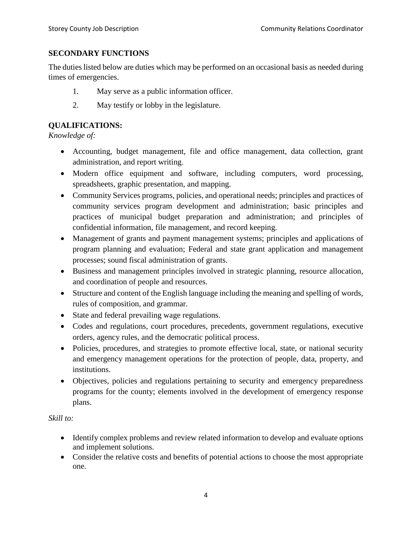### **SECONDARY FUNCTIONS**

The duties listed below are duties which may be performed on an occasional basis as needed during times of emergencies.

- 1. May serve as a public information officer.
- 2. May testify or lobby in the legislature.

## **QUALIFICATIONS:**

## *Knowledge of:*

- Accounting, budget management, file and office management, data collection, grant administration, and report writing.
- Modern office equipment and software, including computers, word processing, spreadsheets, graphic presentation, and mapping.
- Community Services programs, policies, and operational needs; principles and practices of community services program development and administration; basic principles and practices of municipal budget preparation and administration; and principles of confidential information, file management, and record keeping.
- Management of grants and payment management systems; principles and applications of program planning and evaluation; Federal and state grant application and management processes; sound fiscal administration of grants.
- Business and management principles involved in strategic planning, resource allocation, and coordination of people and resources.
- Structure and content of the English language including the meaning and spelling of words, rules of composition, and grammar.
- State and federal prevailing wage regulations.
- Codes and regulations, court procedures, precedents, government regulations, executive orders, agency rules, and the democratic political process.
- Policies, procedures, and strategies to promote effective local, state, or national security and emergency management operations for the protection of people, data, property, and institutions.
- Objectives, policies and regulations pertaining to security and emergency preparedness programs for the county; elements involved in the development of emergency response plans.

## *Skill to:*

- Identify complex problems and review related information to develop and evaluate options and implement solutions.
- Consider the relative costs and benefits of potential actions to choose the most appropriate one.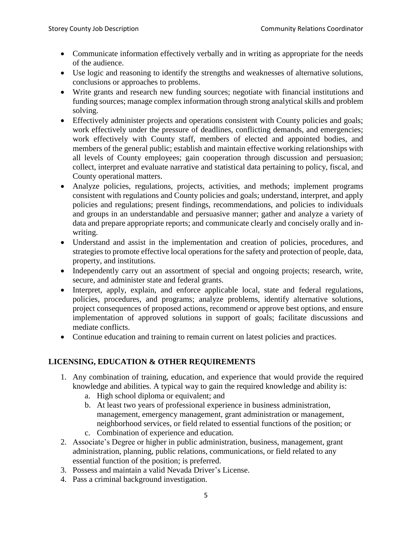- Communicate information effectively verbally and in writing as appropriate for the needs of the audience.
- Use logic and reasoning to identify the strengths and weaknesses of alternative solutions, conclusions or approaches to problems.
- Write grants and research new funding sources; negotiate with financial institutions and funding sources; manage complex information through strong analytical skills and problem solving.
- Effectively administer projects and operations consistent with County policies and goals; work effectively under the pressure of deadlines, conflicting demands, and emergencies; work effectively with County staff, members of elected and appointed bodies, and members of the general public; establish and maintain effective working relationships with all levels of County employees; gain cooperation through discussion and persuasion; collect, interpret and evaluate narrative and statistical data pertaining to policy, fiscal, and County operational matters.
- Analyze policies, regulations, projects, activities, and methods; implement programs consistent with regulations and County policies and goals; understand, interpret, and apply policies and regulations; present findings, recommendations, and policies to individuals and groups in an understandable and persuasive manner; gather and analyze a variety of data and prepare appropriate reports; and communicate clearly and concisely orally and inwriting.
- Understand and assist in the implementation and creation of policies, procedures, and strategies to promote effective local operations for the safety and protection of people, data, property, and institutions.
- Independently carry out an assortment of special and ongoing projects; research, write, secure, and administer state and federal grants.
- Interpret, apply, explain, and enforce applicable local, state and federal regulations, policies, procedures, and programs; analyze problems, identify alternative solutions, project consequences of proposed actions, recommend or approve best options, and ensure implementation of approved solutions in support of goals; facilitate discussions and mediate conflicts.
- Continue education and training to remain current on latest policies and practices.

## **LICENSING, EDUCATION & OTHER REQUIREMENTS**

- 1. Any combination of training, education, and experience that would provide the required knowledge and abilities. A typical way to gain the required knowledge and ability is:
	- a. High school diploma or equivalent; and
	- b. At least two years of professional experience in business administration, management, emergency management, grant administration or management, neighborhood services, or field related to essential functions of the position; or
	- c. Combination of experience and education.
- 2. Associate's Degree or higher in public administration, business, management, grant administration, planning, public relations, communications, or field related to any essential function of the position; is preferred.
- 3. Possess and maintain a valid Nevada Driver's License.
- 4. Pass a criminal background investigation.